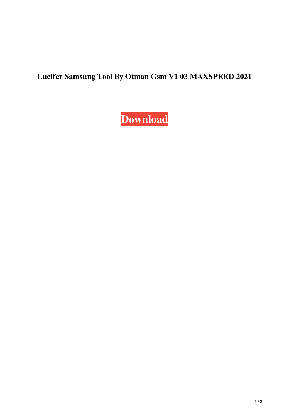## **Lucifer Samsung Tool By Otman Gsm V1 03 MAXSPEED 2021**

**[Download](https://urlin.us/2l1ag3)**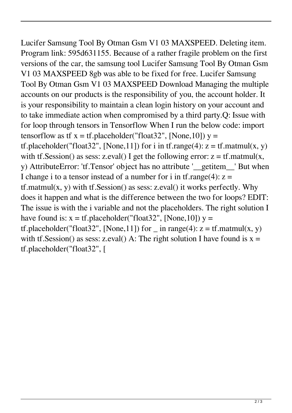Lucifer Samsung Tool By Otman Gsm V1 03 MAXSPEED. Deleting item. Program link: 595d631155. Because of a rather fragile problem on the first versions of the car, the samsung tool Lucifer Samsung Tool By Otman Gsm V1 03 MAXSPEED 8gb was able to be fixed for free. Lucifer Samsung Tool By Otman Gsm V1 03 MAXSPEED Download Managing the multiple accounts on our products is the responsibility of you, the account holder. It is your responsibility to maintain a clean login history on your account and to take immediate action when compromised by a third party.Q: Issue with for loop through tensors in Tensorflow When I run the below code: import tensorflow as tf  $x = tf$ .placeholder("float 32", [None, 10])  $y =$ tf.placeholder("float32", [None,11]) for i in tf.range(4):  $z = tf.matmul(x, y)$ with tf.Session() as sess: z.eval() I get the following error:  $z = tf.matmul(x,$ y) AttributeError: 'tf.Tensor' object has no attribute '\_\_getitem\_\_' But when I change i to a tensor instead of a number for i in tf.range(4):  $z =$  $tf.matmul(x, y)$  with  $tf.Session()$  as sess: z.eval $()$  it works perfectly. Why does it happen and what is the difference between the two for loops? EDIT: The issue is with the i variable and not the placeholders. The right solution I have found is:  $x = tf$ .placeholder("float 32", [None, 10])  $y =$ tf.placeholder("float32", [None,11]) for in range(4):  $z = tf.matmul(x, y)$ with tf.Session() as sess: z.eval() A: The right solution I have found is  $x =$ tf.placeholder("float32", [